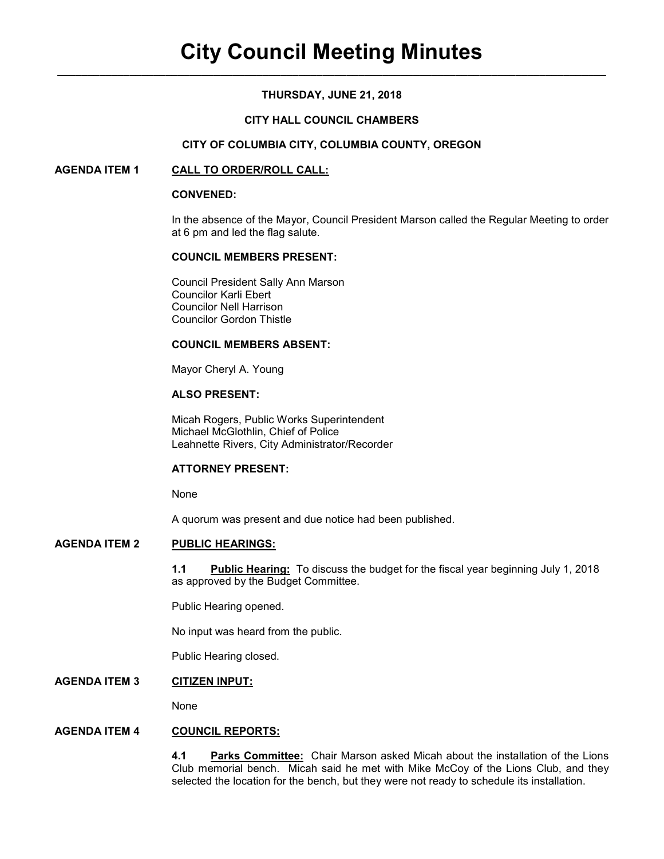## **THURSDAY, JUNE 21, 2018**

## **CITY HALL COUNCIL CHAMBERS**

#### **CITY OF COLUMBIA CITY, COLUMBIA COUNTY, OREGON**

#### **AGENDA ITEM 1 CALL TO ORDER/ROLL CALL:**

#### **CONVENED:**

In the absence of the Mayor, Council President Marson called the Regular Meeting to order at 6 pm and led the flag salute.

#### **COUNCIL MEMBERS PRESENT:**

 Council President Sally Ann Marson Councilor Karli Ebert Councilor Nell Harrison Councilor Gordon Thistle

#### **COUNCIL MEMBERS ABSENT:**

Mayor Cheryl A. Young

## **ALSO PRESENT:**

Micah Rogers, Public Works Superintendent Michael McGlothlin, Chief of Police Leahnette Rivers, City Administrator/Recorder

## **ATTORNEY PRESENT:**

None

A quorum was present and due notice had been published.

## **AGENDA ITEM 2 PUBLIC HEARINGS:**

**1.1 Public Hearing:** To discuss the budget for the fiscal year beginning July 1, 2018 as approved by the Budget Committee.

Public Hearing opened.

No input was heard from the public.

Public Hearing closed.

## **AGENDA ITEM 3 CITIZEN INPUT:**

None

## **AGENDA ITEM 4 COUNCIL REPORTS:**

**4.1 Parks Committee:** Chair Marson asked Micah about the installation of the Lions Club memorial bench. Micah said he met with Mike McCoy of the Lions Club, and they selected the location for the bench, but they were not ready to schedule its installation.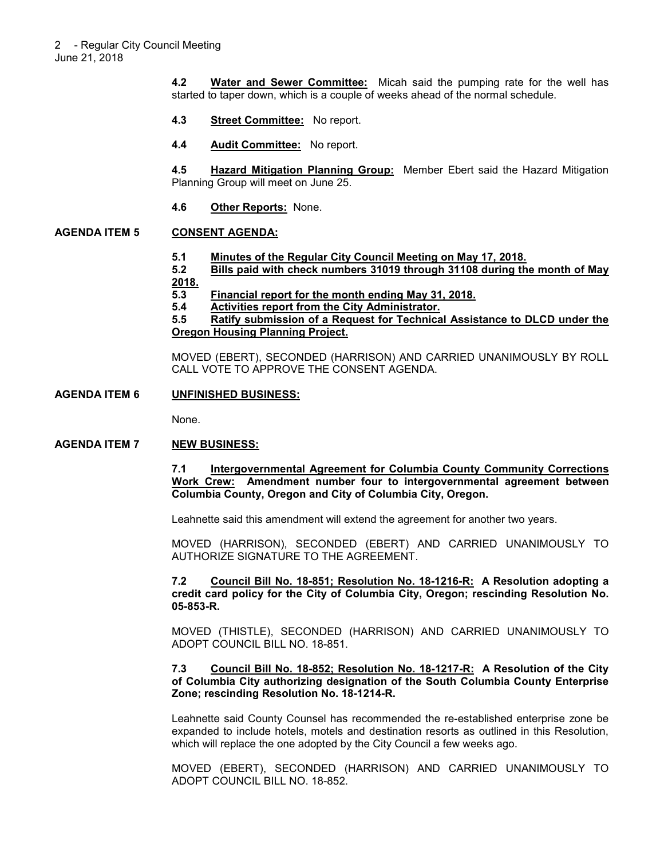**4.2 Water and Sewer Committee:** Micah said the pumping rate for the well has started to taper down, which is a couple of weeks ahead of the normal schedule.

- **4.3 Street Committee:** No report.
- **4.4 Audit Committee:** No report.

**4.5 Hazard Mitigation Planning Group:** Member Ebert said the Hazard Mitigation Planning Group will meet on June 25.

**4.6 Other Reports:** None.

#### **AGENDA ITEM 5 CONSENT AGENDA:**

- **5.1 Minutes of the Regular City Council Meeting on May 17, 2018.**
- **5.2 Bills paid with check numbers 31019 through 31108 during the month of May 2018.**
- **5.3 Financial report for the month ending May 31, 2018.**
- **5.4 Activities report from the City Administrator.**

**5.5 Ratify submission of a Request for Technical Assistance to DLCD under the Oregon Housing Planning Project.**

MOVED (EBERT), SECONDED (HARRISON) AND CARRIED UNANIMOUSLY BY ROLL CALL VOTE TO APPROVE THE CONSENT AGENDA.

#### **AGENDA ITEM 6 UNFINISHED BUSINESS:**

None.

#### **AGENDA ITEM 7 NEW BUSINESS:**

**7.1 Intergovernmental Agreement for Columbia County Community Corrections Work Crew: Amendment number four to intergovernmental agreement between Columbia County, Oregon and City of Columbia City, Oregon.** 

Leahnette said this amendment will extend the agreement for another two years.

MOVED (HARRISON), SECONDED (EBERT) AND CARRIED UNANIMOUSLY TO AUTHORIZE SIGNATURE TO THE AGREEMENT.

**7.2 Council Bill No. 18-851; Resolution No. 18-1216-R: A Resolution adopting a credit card policy for the City of Columbia City, Oregon; rescinding Resolution No. 05-853-R.** 

MOVED (THISTLE), SECONDED (HARRISON) AND CARRIED UNANIMOUSLY TO ADOPT COUNCIL BILL NO. 18-851.

#### **7.3 Council Bill No. 18-852; Resolution No. 18-1217-R: A Resolution of the City of Columbia City authorizing designation of the South Columbia County Enterprise Zone; rescinding Resolution No. 18-1214-R.**

Leahnette said County Counsel has recommended the re-established enterprise zone be expanded to include hotels, motels and destination resorts as outlined in this Resolution, which will replace the one adopted by the City Council a few weeks ago.

MOVED (EBERT), SECONDED (HARRISON) AND CARRIED UNANIMOUSLY TO ADOPT COUNCIL BILL NO. 18-852.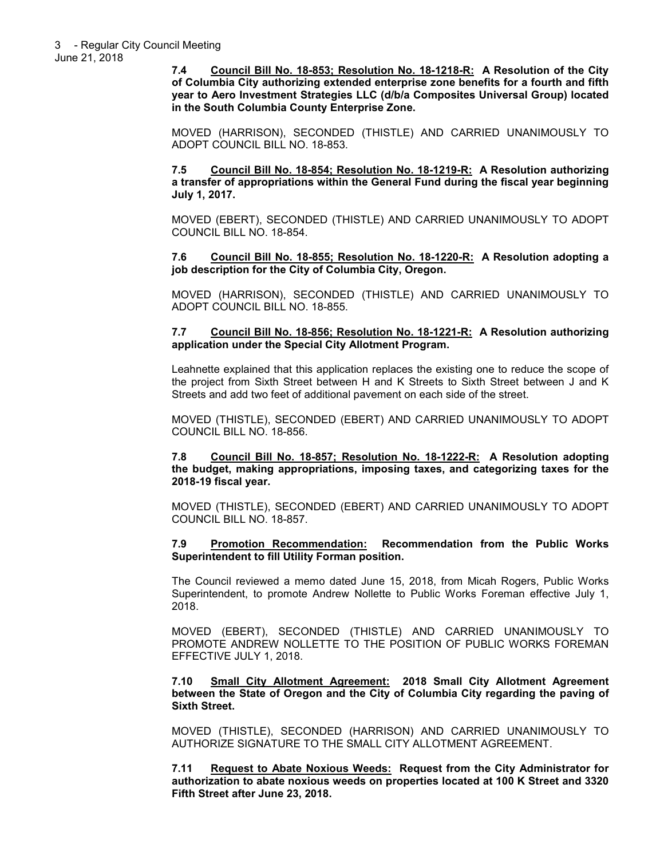**7.4 Council Bill No. 18-853; Resolution No. 18-1218-R: A Resolution of the City of Columbia City authorizing extended enterprise zone benefits for a fourth and fifth year to Aero Investment Strategies LLC (d/b/a Composites Universal Group) located in the South Columbia County Enterprise Zone.** 

MOVED (HARRISON), SECONDED (THISTLE) AND CARRIED UNANIMOUSLY TO ADOPT COUNCIL BILL NO. 18-853.

**7.5 Council Bill No. 18-854; Resolution No. 18-1219-R: A Resolution authorizing a transfer of appropriations within the General Fund during the fiscal year beginning July 1, 2017.** 

MOVED (EBERT), SECONDED (THISTLE) AND CARRIED UNANIMOUSLY TO ADOPT COUNCIL BILL NO. 18-854.

**7.6 Council Bill No. 18-855; Resolution No. 18-1220-R: A Resolution adopting a job description for the City of Columbia City, Oregon.** 

MOVED (HARRISON), SECONDED (THISTLE) AND CARRIED UNANIMOUSLY TO ADOPT COUNCIL BILL NO. 18-855.

#### **7.7 Council Bill No. 18-856; Resolution No. 18-1221-R: A Resolution authorizing application under the Special City Allotment Program.**

Leahnette explained that this application replaces the existing one to reduce the scope of the project from Sixth Street between H and K Streets to Sixth Street between J and K Streets and add two feet of additional pavement on each side of the street.

MOVED (THISTLE), SECONDED (EBERT) AND CARRIED UNANIMOUSLY TO ADOPT COUNCIL BILL NO. 18-856.

**7.8 Council Bill No. 18-857; Resolution No. 18-1222-R: A Resolution adopting the budget, making appropriations, imposing taxes, and categorizing taxes for the 2018-19 fiscal year.** 

MOVED (THISTLE), SECONDED (EBERT) AND CARRIED UNANIMOUSLY TO ADOPT COUNCIL BILL NO. 18-857.

#### **7.9 Promotion Recommendation: Recommendation from the Public Works Superintendent to fill Utility Forman position.**

The Council reviewed a memo dated June 15, 2018, from Micah Rogers, Public Works Superintendent, to promote Andrew Nollette to Public Works Foreman effective July 1, 2018.

MOVED (EBERT), SECONDED (THISTLE) AND CARRIED UNANIMOUSLY TO PROMOTE ANDREW NOLLETTE TO THE POSITION OF PUBLIC WORKS FOREMAN EFFECTIVE JULY 1, 2018.

**7.10 Small City Allotment Agreement: 2018 Small City Allotment Agreement between the State of Oregon and the City of Columbia City regarding the paving of Sixth Street.** 

MOVED (THISTLE), SECONDED (HARRISON) AND CARRIED UNANIMOUSLY TO AUTHORIZE SIGNATURE TO THE SMALL CITY ALLOTMENT AGREEMENT.

**7.11 Request to Abate Noxious Weeds: Request from the City Administrator for authorization to abate noxious weeds on properties located at 100 K Street and 3320 Fifth Street after June 23, 2018.**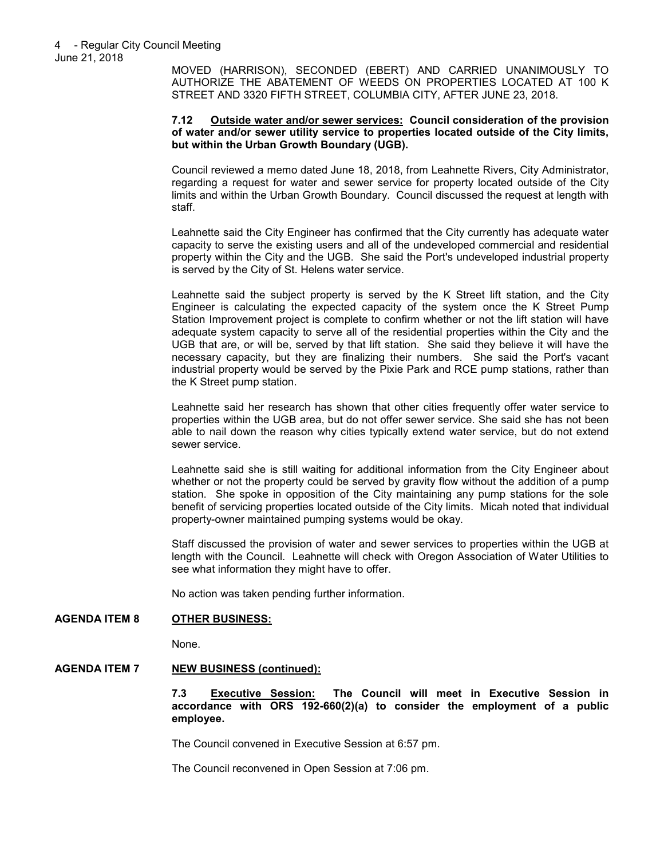MOVED (HARRISON), SECONDED (EBERT) AND CARRIED UNANIMOUSLY TO AUTHORIZE THE ABATEMENT OF WEEDS ON PROPERTIES LOCATED AT 100 K STREET AND 3320 FIFTH STREET, COLUMBIA CITY, AFTER JUNE 23, 2018.

#### **7.12 Outside water and/or sewer services: Council consideration of the provision of water and/or sewer utility service to properties located outside of the City limits, but within the Urban Growth Boundary (UGB).**

Council reviewed a memo dated June 18, 2018, from Leahnette Rivers, City Administrator, regarding a request for water and sewer service for property located outside of the City limits and within the Urban Growth Boundary. Council discussed the request at length with staff.

Leahnette said the City Engineer has confirmed that the City currently has adequate water capacity to serve the existing users and all of the undeveloped commercial and residential property within the City and the UGB. She said the Port's undeveloped industrial property is served by the City of St. Helens water service.

Leahnette said the subject property is served by the K Street lift station, and the City Engineer is calculating the expected capacity of the system once the K Street Pump Station Improvement project is complete to confirm whether or not the lift station will have adequate system capacity to serve all of the residential properties within the City and the UGB that are, or will be, served by that lift station. She said they believe it will have the necessary capacity, but they are finalizing their numbers. She said the Port's vacant industrial property would be served by the Pixie Park and RCE pump stations, rather than the K Street pump station.

Leahnette said her research has shown that other cities frequently offer water service to properties within the UGB area, but do not offer sewer service. She said she has not been able to nail down the reason why cities typically extend water service, but do not extend sewer service.

Leahnette said she is still waiting for additional information from the City Engineer about whether or not the property could be served by gravity flow without the addition of a pump station. She spoke in opposition of the City maintaining any pump stations for the sole benefit of servicing properties located outside of the City limits. Micah noted that individual property-owner maintained pumping systems would be okay.

Staff discussed the provision of water and sewer services to properties within the UGB at length with the Council. Leahnette will check with Oregon Association of Water Utilities to see what information they might have to offer.

No action was taken pending further information.

## **AGENDA ITEM 8 OTHER BUSINESS:**

None.

## **AGENDA ITEM 7 NEW BUSINESS (continued):**

**7.3 Executive Session: The Council will meet in Executive Session in accordance with ORS 192-660(2)(a) to consider the employment of a public employee.** 

The Council convened in Executive Session at 6:57 pm.

The Council reconvened in Open Session at 7:06 pm.